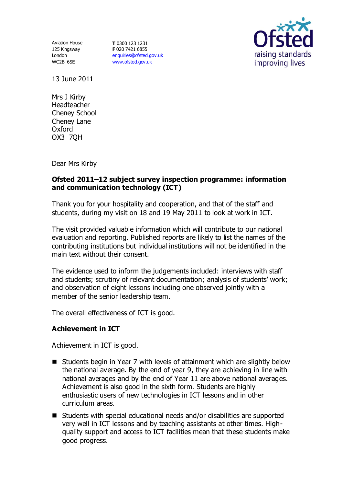Aviation House 125 Kingsway London WC2B 6SE

**T** 0300 123 1231 **F** 020 7421 6855 [enquiries@ofsted.gov.uk](mailto:enquiries@ofsted.gov.uk) [www.ofsted.gov.uk](http://www.ofsted.gov.uk/)



13 June 2011

Mrs J Kirby Headteacher Cheney School Cheney Lane Oxford OX3 7QH

Dear Mrs Kirby

### **Ofsted 2011–12 subject survey inspection programme: information and communication technology (ICT)**

Thank you for your hospitality and cooperation, and that of the staff and students, during my visit on 18 and 19 May 2011 to look at work in ICT.

The visit provided valuable information which will contribute to our national evaluation and reporting. Published reports are likely to list the names of the contributing institutions but individual institutions will not be identified in the main text without their consent.

The evidence used to inform the judgements included: interviews with staff and students; scrutiny of relevant documentation; analysis of students' work; and observation of eight lessons including one observed jointly with a member of the senior leadership team.

The overall effectiveness of ICT is good.

# **Achievement in ICT**

Achievement in ICT is good.

- Students begin in Year 7 with levels of attainment which are slightly below the national average. By the end of year 9, they are achieving in line with national averages and by the end of Year 11 are above national averages. Achievement is also good in the sixth form. Students are highly enthusiastic users of new technologies in ICT lessons and in other curriculum areas.
- Students with special educational needs and/or disabilities are supported very well in ICT lessons and by teaching assistants at other times. Highquality support and access to ICT facilities mean that these students make good progress.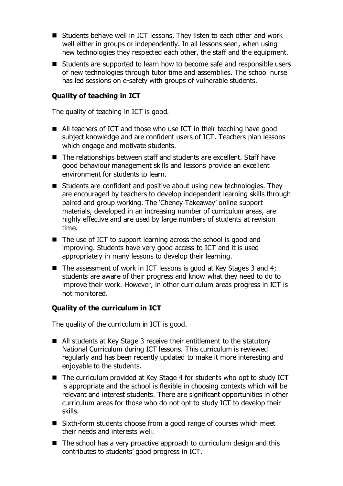- Students behave well in ICT lessons. They listen to each other and work well either in groups or independently. In all lessons seen, when using new technologies they respected each other, the staff and the equipment.
- Students are supported to learn how to become safe and responsible users of new technologies through tutor time and assemblies. The school nurse has led sessions on e-safety with groups of vulnerable students.

## **Quality of teaching in ICT**

The quality of teaching in ICT is good.

- All teachers of ICT and those who use ICT in their teaching have good subject knowledge and are confident users of ICT. Teachers plan lessons which engage and motivate students.
- The relationships between staff and students are excellent. Staff have good behaviour management skills and lessons provide an excellent environment for students to learn.
- Students are confident and positive about using new technologies. They are encouraged by teachers to develop independent learning skills through paired and group working. The 'Cheney Takeaway' online support materials, developed in an increasing number of curriculum areas, are highly effective and are used by large numbers of students at revision time.
- The use of ICT to support learning across the school is good and improving. Students have very good access to ICT and it is used appropriately in many lessons to develop their learning.
- $\blacksquare$  The assessment of work in ICT lessons is good at Key Stages 3 and 4; students are aware of their progress and know what they need to do to improve their work. However, in other curriculum areas progress in ICT is not monitored.

#### **Quality of the curriculum in ICT**

The quality of the curriculum in ICT is good.

- All students at Key Stage 3 receive their entitlement to the statutory National Curriculum during ICT lessons. This curriculum is reviewed regularly and has been recently updated to make it more interesting and enjoyable to the students.
- The curriculum provided at Key Stage 4 for students who opt to study ICT is appropriate and the school is flexible in choosing contexts which will be relevant and interest students. There are significant opportunities in other curriculum areas for those who do not opt to study ICT to develop their skills.
- Sixth-form students choose from a good range of courses which meet their needs and interests well.
- $\blacksquare$  The school has a very proactive approach to curriculum design and this contributes to students' good progress in ICT.